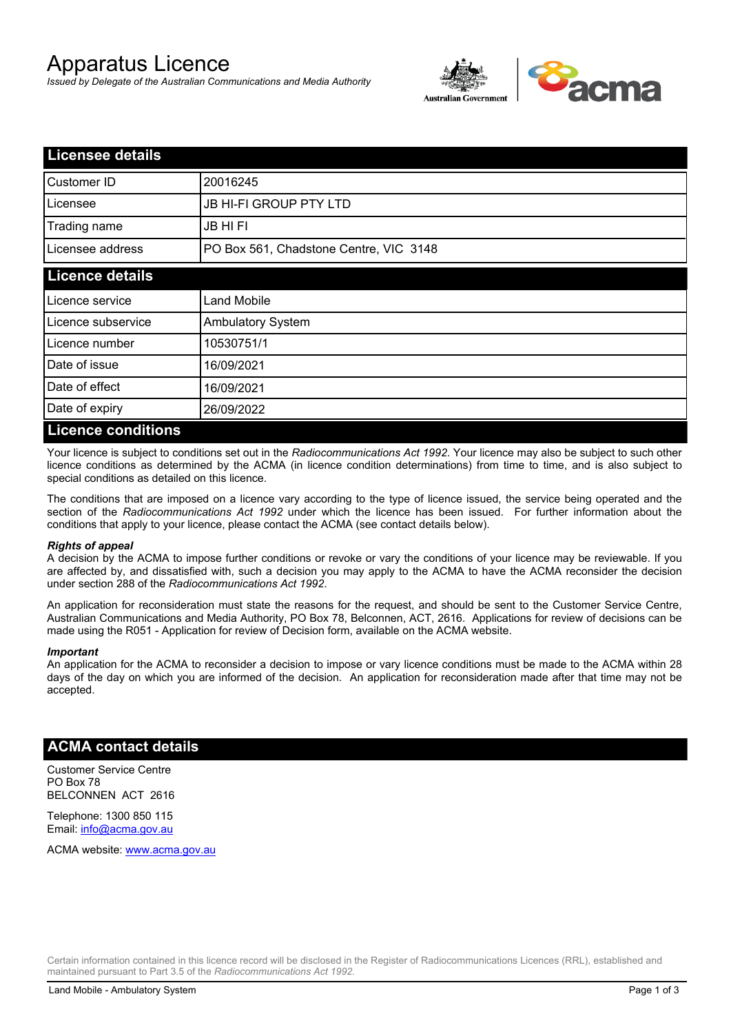# Apparatus Licence

*Issued by Delegate of the Australian Communications and Media Authority*



| <b>Licensee details</b>   |                                        |  |
|---------------------------|----------------------------------------|--|
| Customer ID               | 20016245                               |  |
| Licensee                  | <b>JB HI-FI GROUP PTY LTD</b>          |  |
| Trading name              | <b>JB HIFI</b>                         |  |
| Licensee address          | PO Box 561, Chadstone Centre, VIC 3148 |  |
| <b>Licence details</b>    |                                        |  |
| Licence service           | <b>Land Mobile</b>                     |  |
| Licence subservice        | <b>Ambulatory System</b>               |  |
| Licence number            | 10530751/1                             |  |
| Date of issue             | 16/09/2021                             |  |
| Date of effect            | 16/09/2021                             |  |
| Date of expiry            | 26/09/2022                             |  |
| <b>Licence conditions</b> |                                        |  |

Your licence is subject to conditions set out in the *Radiocommunications Act 1992*. Your licence may also be subject to such other licence conditions as determined by the ACMA (in licence condition determinations) from time to time, and is also subject to special conditions as detailed on this licence.

The conditions that are imposed on a licence vary according to the type of licence issued, the service being operated and the section of the *Radiocommunications Act 1992* under which the licence has been issued. For further information about the conditions that apply to your licence, please contact the ACMA (see contact details below).

#### *Rights of appeal*

A decision by the ACMA to impose further conditions or revoke or vary the conditions of your licence may be reviewable. If you are affected by, and dissatisfied with, such a decision you may apply to the ACMA to have the ACMA reconsider the decision under section 288 of the *Radiocommunications Act 1992*.

An application for reconsideration must state the reasons for the request, and should be sent to the Customer Service Centre, Australian Communications and Media Authority, PO Box 78, Belconnen, ACT, 2616. Applications for review of decisions can be made using the R051 - Application for review of Decision form, available on the ACMA website.

#### *Important*

An application for the ACMA to reconsider a decision to impose or vary licence conditions must be made to the ACMA within 28 days of the day on which you are informed of the decision. An application for reconsideration made after that time may not be accepted.

### **ACMA contact details**

Customer Service Centre PO Box 78 BELCONNEN ACT 2616

Telephone: 1300 850 115 Email: info@acma.gov.au

ACMA website: www.acma.gov.au

Certain information contained in this licence record will be disclosed in the Register of Radiocommunications Licences (RRL), established and maintained pursuant to Part 3.5 of the *Radiocommunications Act 1992.*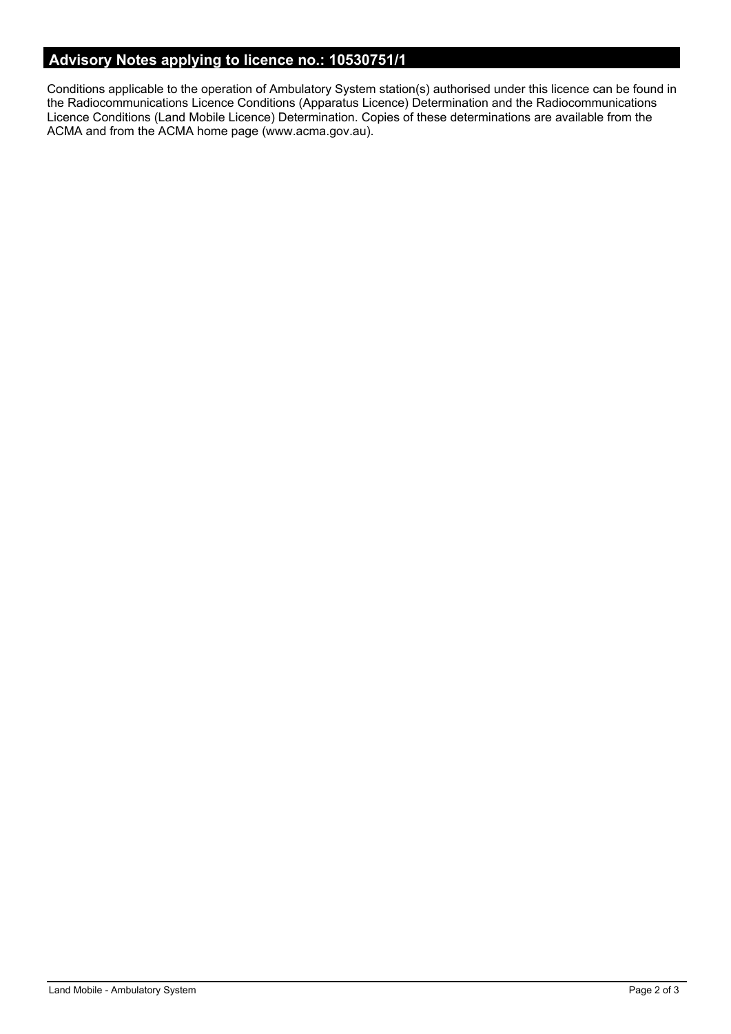# **Advisory Notes applying to licence no.: 10530751/1**

Conditions applicable to the operation of Ambulatory System station(s) authorised under this licence can be found in the Radiocommunications Licence Conditions (Apparatus Licence) Determination and the Radiocommunications Licence Conditions (Land Mobile Licence) Determination. Copies of these determinations are available from the ACMA and from the ACMA home page (www.acma.gov.au).